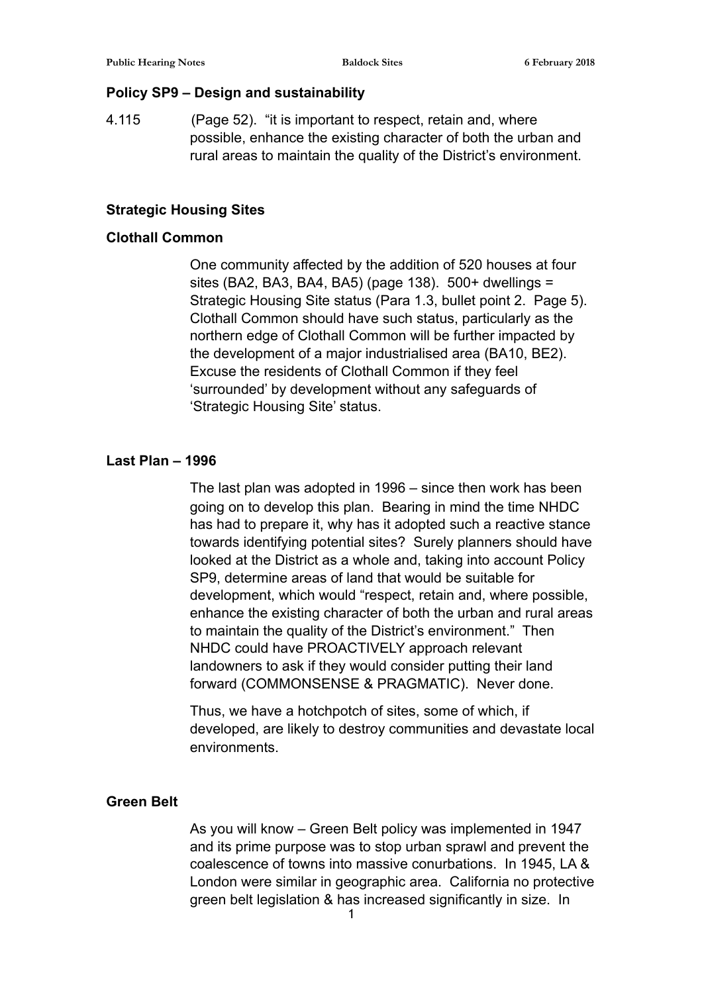## **Policy SP9 – Design and sustainability**

4.115 (Page 52). "it is important to respect, retain and, where possible, enhance the existing character of both the urban and rural areas to maintain the quality of the District's environment.

## **Strategic Housing Sites**

## **Clothall Common**

One community affected by the addition of 520 houses at four sites (BA2, BA3, BA4, BA5) (page 138). 500+ dwellings = Strategic Housing Site status (Para 1.3, bullet point 2. Page 5). Clothall Common should have such status, particularly as the northern edge of Clothall Common will be further impacted by the development of a major industrialised area (BA10, BE2). Excuse the residents of Clothall Common if they feel 'surrounded' by development without any safeguards of 'Strategic Housing Site' status.

## **Last Plan – 1996**

The last plan was adopted in 1996 – since then work has been going on to develop this plan. Bearing in mind the time NHDC has had to prepare it, why has it adopted such a reactive stance towards identifying potential sites? Surely planners should have looked at the District as a whole and, taking into account Policy SP9, determine areas of land that would be suitable for development, which would "respect, retain and, where possible, enhance the existing character of both the urban and rural areas to maintain the quality of the District's environment." Then NHDC could have PROACTIVELY approach relevant landowners to ask if they would consider putting their land forward (COMMONSENSE & PRAGMATIC). Never done.

Thus, we have a hotchpotch of sites, some of which, if developed, are likely to destroy communities and devastate local environments.

#### **Green Belt**

As you will know – Green Belt policy was implemented in 1947 and its prime purpose was to stop urban sprawl and prevent the coalescence of towns into massive conurbations. In 1945, LA & London were similar in geographic area. California no protective green belt legislation & has increased significantly in size. In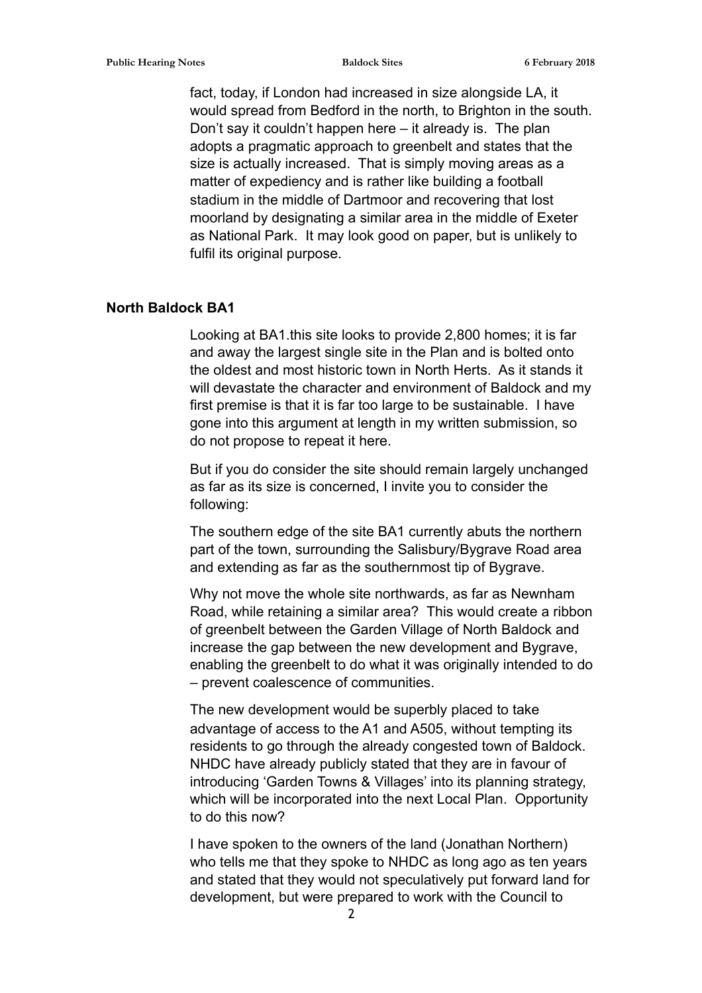fact, today, if London had increased in size alongside LA, it would spread from Bedford in the north, to Brighton in the south. Don't say it couldn't happen here – it already is. The plan adopts a pragmatic approach to greenbelt and states that the size is actually increased. That is simply moving areas as a matter of expediency and is rather like building a football stadium in the middle of Dartmoor and recovering that lost moorland by designating a similar area in the middle of Exeter as National Park. It may look good on paper, but is unlikely to fulfil its original purpose.

## **North Baldock BA1**

Looking at BA1.this site looks to provide 2,800 homes; it is far and away the largest single site in the Plan and is bolted onto the oldest and most historic town in North Herts. As it stands it will devastate the character and environment of Baldock and my first premise is that it is far too large to be sustainable. I have gone into this argument at length in my written submission, so do not propose to repeat it here.

But if you do consider the site should remain largely unchanged as far as its size is concerned, I invite you to consider the following:

The southern edge of the site BA1 currently abuts the northern part of the town, surrounding the Salisbury/Bygrave Road area and extending as far as the southernmost tip of Bygrave.

Why not move the whole site northwards, as far as Newnham Road, while retaining a similar area? This would create a ribbon of greenbelt between the Garden Village of North Baldock and increase the gap between the new development and Bygrave, enabling the greenbelt to do what it was originally intended to do – prevent coalescence of communities.

The new development would be superbly placed to take advantage of access to the A1 and A505, without tempting its residents to go through the already congested town of Baldock. NHDC have already publicly stated that they are in favour of introducing 'Garden Towns & Villages' into its planning strategy, which will be incorporated into the next Local Plan. Opportunity to do this now?

I have spoken to the owners of the land (Jonathan Northern) who tells me that they spoke to NHDC as long ago as ten years and stated that they would not speculatively put forward land for development, but were prepared to work with the Council to